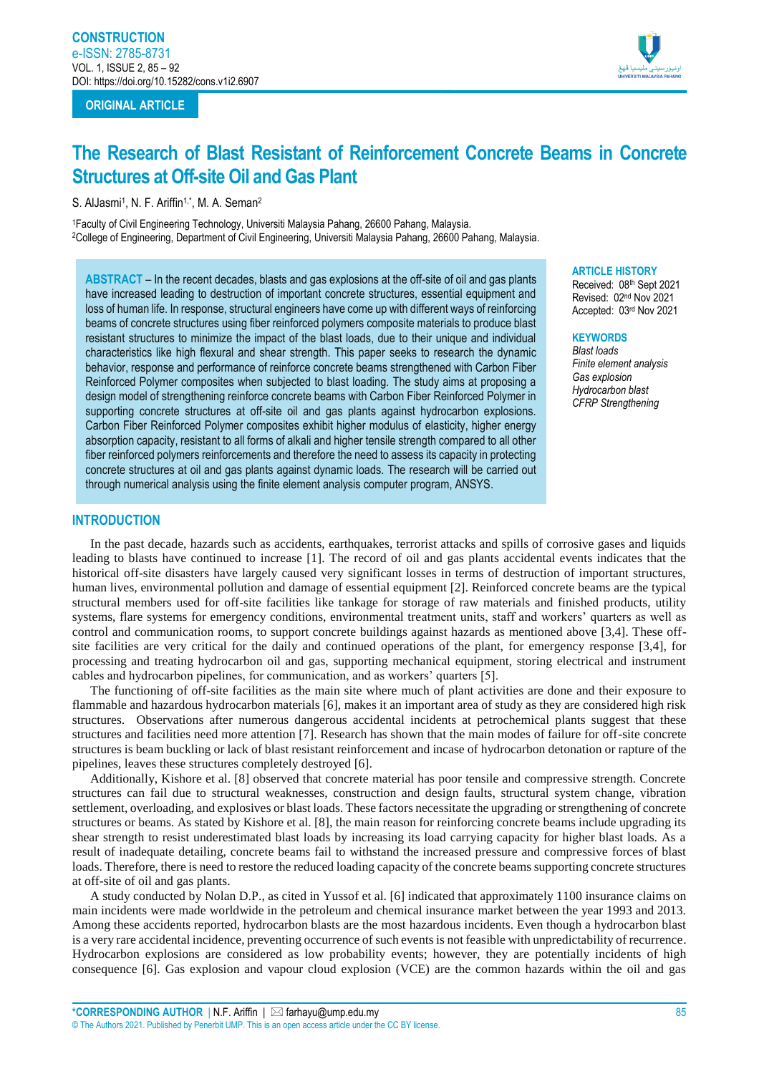# **ORIGINAL ARTICLE**



# **The Research of Blast Resistant of Reinforcement Concrete Beams in Concrete Structures at Off-site Oil and Gas Plant**

S. AlJasmi<sup>1</sup> , N. F. Ariffin1,\* , M. A. Seman<sup>2</sup>

<sup>1</sup>Faculty of Civil Engineering Technology, Universiti Malaysia Pahang, 26600 Pahang, Malaysia. <sup>2</sup>College of Engineering, Department of Civil Engineering, Universiti Malaysia Pahang, 26600 Pahang, Malaysia.

**ABSTRACT** – In the recent decades, blasts and gas explosions at the off-site of oil and gas plants have increased leading to destruction of important concrete structures, essential equipment and loss of human life. In response, structural engineers have come up with different ways of reinforcing beams of concrete structures using fiber reinforced polymers composite materials to produce blast resistant structures to minimize the impact of the blast loads, due to their unique and individual characteristics like high flexural and shear strength. This paper seeks to research the dynamic behavior, response and performance of reinforce concrete beams strengthened with Carbon Fiber Reinforced Polymer composites when subjected to blast loading. The study aims at proposing a design model of strengthening reinforce concrete beams with Carbon Fiber Reinforced Polymer in supporting concrete structures at off-site oil and gas plants against hydrocarbon explosions. Carbon Fiber Reinforced Polymer composites exhibit higher modulus of elasticity, higher energy absorption capacity, resistant to all forms of alkali and higher tensile strength compared to all other fiber reinforced polymers reinforcements and therefore the need to assess its capacity in protecting concrete structures at oil and gas plants against dynamic loads. The research will be carried out through numerical analysis using the finite element analysis computer program, ANSYS.

#### **ARTICLE HISTORY**

Received: 08th Sept 2021 Revised: 02nd Nov 2021 Accepted: 03rd Nov 2021

#### **KEYWORDS**

*Blast loads Finite element analysis Gas explosion Hydrocarbon blast CFRP Strengthening*

## **INTRODUCTION**

In the past decade, hazards such as accidents, earthquakes, terrorist attacks and spills of corrosive gases and liquids leading to blasts have continued to increase [1]. The record of oil and gas plants accidental events indicates that the historical off-site disasters have largely caused very significant losses in terms of destruction of important structures, human lives, environmental pollution and damage of essential equipment [2]. Reinforced concrete beams are the typical structural members used for off-site facilities like tankage for storage of raw materials and finished products, utility systems, flare systems for emergency conditions, environmental treatment units, staff and workers' quarters as well as control and communication rooms, to support concrete buildings against hazards as mentioned above [3,4]. These offsite facilities are very critical for the daily and continued operations of the plant, for emergency response [3,4], for processing and treating hydrocarbon oil and gas, supporting mechanical equipment, storing electrical and instrument cables and hydrocarbon pipelines, for communication, and as workers' quarters [5].

The functioning of off-site facilities as the main site where much of plant activities are done and their exposure to flammable and hazardous hydrocarbon materials [6], makes it an important area of study as they are considered high risk structures. Observations after numerous dangerous accidental incidents at petrochemical plants suggest that these structures and facilities need more attention [7]. Research has shown that the main modes of failure for off-site concrete structures is beam buckling or lack of blast resistant reinforcement and incase of hydrocarbon detonation or rapture of the pipelines, leaves these structures completely destroyed [6].

Additionally, Kishore et al. [8] observed that concrete material has poor tensile and compressive strength. Concrete structures can fail due to structural weaknesses, construction and design faults, structural system change, vibration settlement, overloading, and explosives or blast loads. These factors necessitate the upgrading or strengthening of concrete structures or beams. As stated by Kishore et al. [8], the main reason for reinforcing concrete beams include upgrading its shear strength to resist underestimated blast loads by increasing its load carrying capacity for higher blast loads. As a result of inadequate detailing, concrete beams fail to withstand the increased pressure and compressive forces of blast loads. Therefore, there is need to restore the reduced loading capacity of the concrete beams supporting concrete structures at off-site of oil and gas plants.

A study conducted by Nolan D.P., as cited in Yussof et al. [6] indicated that approximately 1100 insurance claims on main incidents were made worldwide in the petroleum and chemical insurance market between the year 1993 and 2013. Among these accidents reported, hydrocarbon blasts are the most hazardous incidents. Even though a hydrocarbon blast is a very rare accidental incidence, preventing occurrence of such events is not feasible with unpredictability of recurrence. Hydrocarbon explosions are considered as low probability events; however, they are potentially incidents of high consequence [6]. Gas explosion and vapour cloud explosion (VCE) are the common hazards within the oil and gas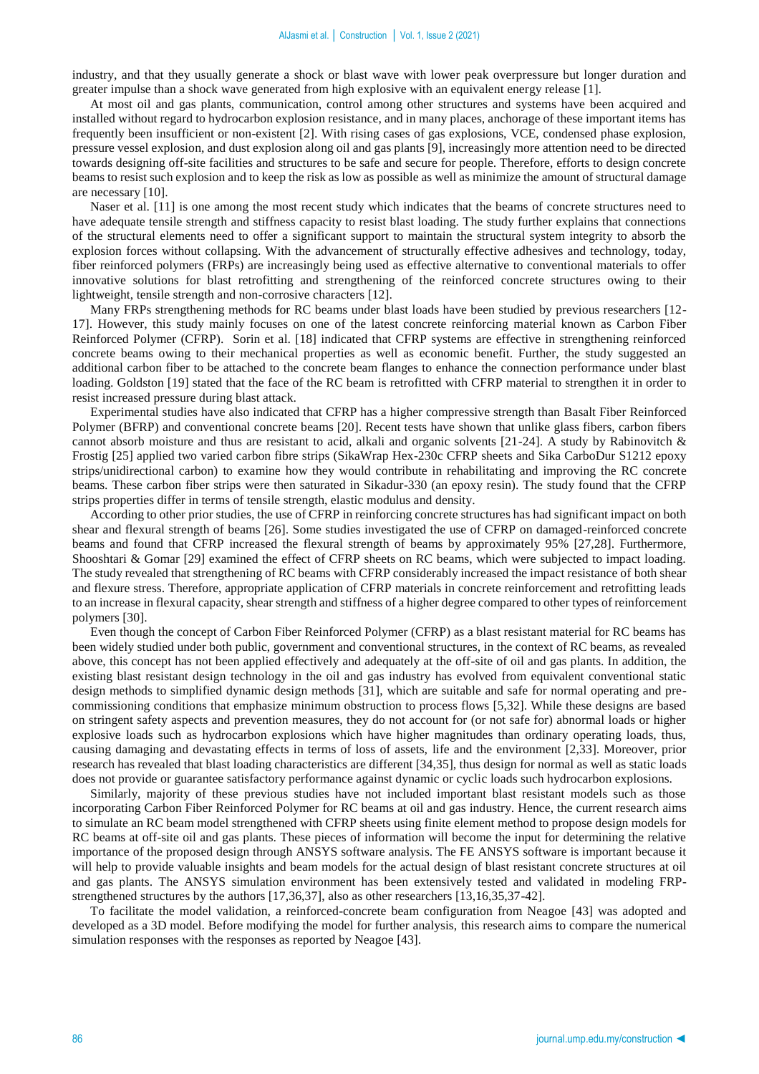industry, and that they usually generate a shock or blast wave with lower peak overpressure but longer duration and greater impulse than a shock wave generated from high explosive with an equivalent energy release [1].

At most oil and gas plants, communication, control among other structures and systems have been acquired and installed without regard to hydrocarbon explosion resistance, and in many places, anchorage of these important items has frequently been insufficient or non-existent [2]. With rising cases of gas explosions, VCE, condensed phase explosion, pressure vessel explosion, and dust explosion along oil and gas plants [9], increasingly more attention need to be directed towards designing off-site facilities and structures to be safe and secure for people. Therefore, efforts to design concrete beams to resist such explosion and to keep the risk as low as possible as well as minimize the amount of structural damage are necessary [10].

Naser et al. [11] is one among the most recent study which indicates that the beams of concrete structures need to have adequate tensile strength and stiffness capacity to resist blast loading. The study further explains that connections of the structural elements need to offer a significant support to maintain the structural system integrity to absorb the explosion forces without collapsing. With the advancement of structurally effective adhesives and technology, today, fiber reinforced polymers (FRPs) are increasingly being used as effective alternative to conventional materials to offer innovative solutions for blast retrofitting and strengthening of the reinforced concrete structures owing to their lightweight, tensile strength and non-corrosive characters [12].

Many FRPs strengthening methods for RC beams under blast loads have been studied by previous researchers [12- 17]. However, this study mainly focuses on one of the latest concrete reinforcing material known as Carbon Fiber Reinforced Polymer (CFRP). Sorin et al. [18] indicated that CFRP systems are effective in strengthening reinforced concrete beams owing to their mechanical properties as well as economic benefit. Further, the study suggested an additional carbon fiber to be attached to the concrete beam flanges to enhance the connection performance under blast loading. Goldston [19] stated that the face of the RC beam is retrofitted with CFRP material to strengthen it in order to resist increased pressure during blast attack.

Experimental studies have also indicated that CFRP has a higher compressive strength than Basalt Fiber Reinforced Polymer (BFRP) and conventional concrete beams [20]. Recent tests have shown that unlike glass fibers, carbon fibers cannot absorb moisture and thus are resistant to acid, alkali and organic solvents [21-24]. A study by Rabinovitch & Frostig [25] applied two varied carbon fibre strips (SikaWrap Hex-230c CFRP sheets and Sika CarboDur S1212 epoxy strips/unidirectional carbon) to examine how they would contribute in rehabilitating and improving the RC concrete beams. These carbon fiber strips were then saturated in Sikadur-330 (an epoxy resin). The study found that the CFRP strips properties differ in terms of tensile strength, elastic modulus and density.

According to other prior studies, the use of CFRP in reinforcing concrete structures has had significant impact on both shear and flexural strength of beams [26]. Some studies investigated the use of CFRP on damaged-reinforced concrete beams and found that CFRP increased the flexural strength of beams by approximately 95% [27,28]. Furthermore, Shooshtari & Gomar [29] examined the effect of CFRP sheets on RC beams, which were subjected to impact loading. The study revealed that strengthening of RC beams with CFRP considerably increased the impact resistance of both shear and flexure stress. Therefore, appropriate application of CFRP materials in concrete reinforcement and retrofitting leads to an increase in flexural capacity, shear strength and stiffness of a higher degree compared to other types of reinforcement polymers [30].

Even though the concept of Carbon Fiber Reinforced Polymer (CFRP) as a blast resistant material for RC beams has been widely studied under both public, government and conventional structures, in the context of RC beams, as revealed above, this concept has not been applied effectively and adequately at the off-site of oil and gas plants. In addition, the existing blast resistant design technology in the oil and gas industry has evolved from equivalent conventional static design methods to simplified dynamic design methods [31], which are suitable and safe for normal operating and precommissioning conditions that emphasize minimum obstruction to process flows [5,32]. While these designs are based on stringent safety aspects and prevention measures, they do not account for (or not safe for) abnormal loads or higher explosive loads such as hydrocarbon explosions which have higher magnitudes than ordinary operating loads, thus, causing damaging and devastating effects in terms of loss of assets, life and the environment [2,33]. Moreover, prior research has revealed that blast loading characteristics are different [34,35], thus design for normal as well as static loads does not provide or guarantee satisfactory performance against dynamic or cyclic loads such hydrocarbon explosions.

Similarly, majority of these previous studies have not included important blast resistant models such as those incorporating Carbon Fiber Reinforced Polymer for RC beams at oil and gas industry. Hence, the current research aims to simulate an RC beam model strengthened with CFRP sheets using finite element method to propose design models for RC beams at off-site oil and gas plants. These pieces of information will become the input for determining the relative importance of the proposed design through ANSYS software analysis. The FE ANSYS software is important because it will help to provide valuable insights and beam models for the actual design of blast resistant concrete structures at oil and gas plants. The ANSYS simulation environment has been extensively tested and validated in modeling FRPstrengthened structures by the authors [17,36,37], also as other researchers [13,16,35,37-42].

To facilitate the model validation, a reinforced-concrete beam configuration from Neagoe [43] was adopted and developed as a 3D model. Before modifying the model for further analysis, this research aims to compare the numerical simulation responses with the responses as reported by Neagoe [43].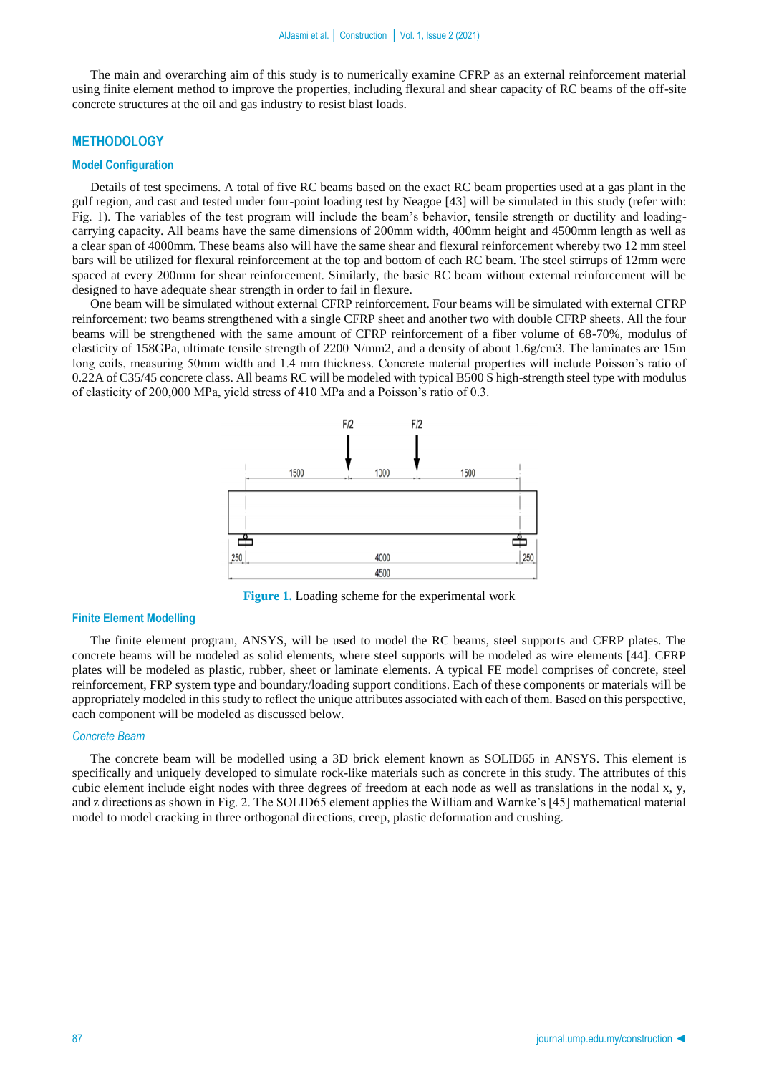The main and overarching aim of this study is to numerically examine CFRP as an external reinforcement material using finite element method to improve the properties, including flexural and shear capacity of RC beams of the off-site concrete structures at the oil and gas industry to resist blast loads.

# **METHODOLOGY**

# **Model Configuration**

Details of test specimens. A total of five RC beams based on the exact RC beam properties used at a gas plant in the gulf region, and cast and tested under four-point loading test by Neagoe [43] will be simulated in this study (refer with: Fig. 1). The variables of the test program will include the beam's behavior, tensile strength or ductility and loadingcarrying capacity. All beams have the same dimensions of 200mm width, 400mm height and 4500mm length as well as a clear span of 4000mm. These beams also will have the same shear and flexural reinforcement whereby two 12 mm steel bars will be utilized for flexural reinforcement at the top and bottom of each RC beam. The steel stirrups of 12mm were spaced at every 200mm for shear reinforcement. Similarly, the basic RC beam without external reinforcement will be designed to have adequate shear strength in order to fail in flexure.

One beam will be simulated without external CFRP reinforcement. Four beams will be simulated with external CFRP reinforcement: two beams strengthened with a single CFRP sheet and another two with double CFRP sheets. All the four beams will be strengthened with the same amount of CFRP reinforcement of a fiber volume of 68-70%, modulus of elasticity of 158GPa, ultimate tensile strength of 2200 N/mm2, and a density of about 1.6g/cm3. The laminates are 15m long coils, measuring 50mm width and 1.4 mm thickness. Concrete material properties will include Poisson's ratio of 0.22A of C35/45 concrete class. All beams RC will be modeled with typical B500 S high-strength steel type with modulus of elasticity of 200,000 MPa, yield stress of 410 MPa and a Poisson's ratio of 0.3.



**Figure 1.** Loading scheme for the experimental work

#### **Finite Element Modelling**

The finite element program, ANSYS, will be used to model the RC beams, steel supports and CFRP plates. The concrete beams will be modeled as solid elements, where steel supports will be modeled as wire elements [44]. CFRP plates will be modeled as plastic, rubber, sheet or laminate elements. A typical FE model comprises of concrete, steel reinforcement, FRP system type and boundary/loading support conditions. Each of these components or materials will be appropriately modeled in this study to reflect the unique attributes associated with each of them. Based on this perspective, each component will be modeled as discussed below.

# *Concrete Beam*

The concrete beam will be modelled using a 3D brick element known as SOLID65 in ANSYS. This element is specifically and uniquely developed to simulate rock-like materials such as concrete in this study. The attributes of this cubic element include eight nodes with three degrees of freedom at each node as well as translations in the nodal x, y, and z directions as shown in Fig. 2. The SOLID65 element applies the William and Warnke's [45] mathematical material model to model cracking in three orthogonal directions, creep, plastic deformation and crushing.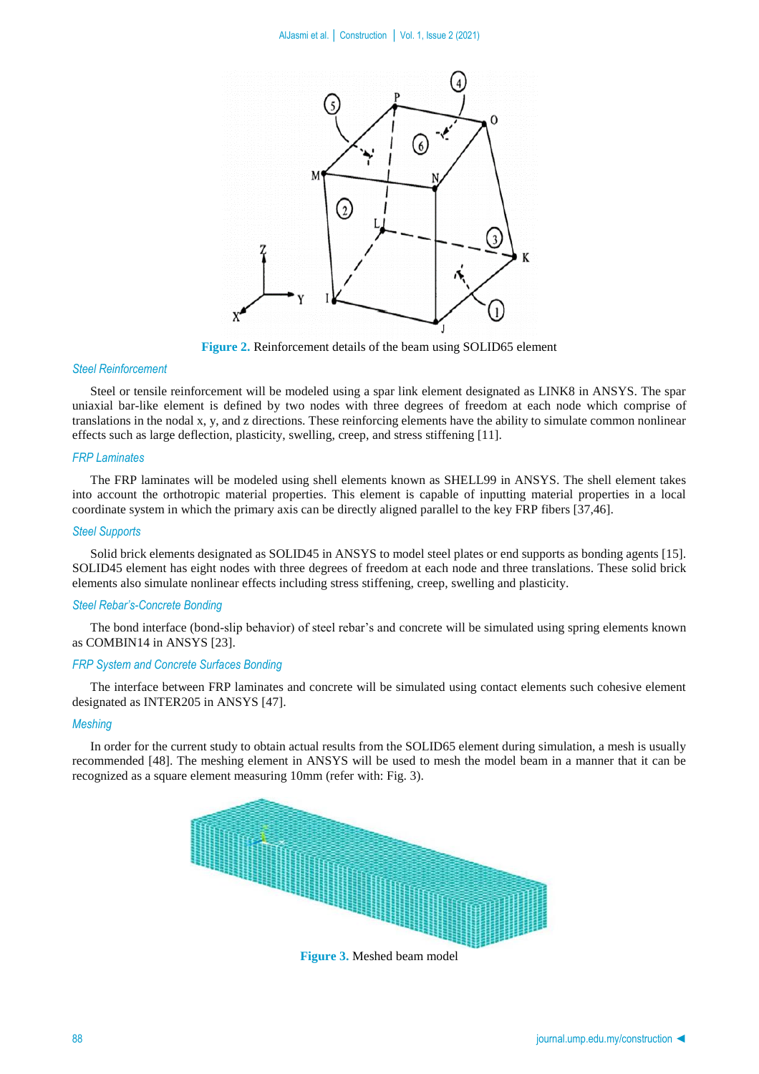

**Figure 2.** Reinforcement details of the beam using SOLID65 element

## *Steel Reinforcement*

Steel or tensile reinforcement will be modeled using a spar link element designated as LINK8 in ANSYS. The spar uniaxial bar-like element is defined by two nodes with three degrees of freedom at each node which comprise of translations in the nodal x, y, and z directions. These reinforcing elements have the ability to simulate common nonlinear effects such as large deflection, plasticity, swelling, creep, and stress stiffening [11].

## *FRP Laminates*

The FRP laminates will be modeled using shell elements known as SHELL99 in ANSYS. The shell element takes into account the orthotropic material properties. This element is capable of inputting material properties in a local coordinate system in which the primary axis can be directly aligned parallel to the key FRP fibers [37,46].

#### *Steel Supports*

Solid brick elements designated as SOLID45 in ANSYS to model steel plates or end supports as bonding agents [15]. SOLID45 element has eight nodes with three degrees of freedom at each node and three translations. These solid brick elements also simulate nonlinear effects including stress stiffening, creep, swelling and plasticity.

#### *Steel Rebar's-Concrete Bonding*

The bond interface (bond-slip behavior) of steel rebar's and concrete will be simulated using spring elements known as COMBIN14 in ANSYS [23].

# *FRP System and Concrete Surfaces Bonding*

The interface between FRP laminates and concrete will be simulated using contact elements such cohesive element designated as INTER205 in ANSYS [47].

## *Meshing*

In order for the current study to obtain actual results from the SOLID65 element during simulation, a mesh is usually recommended [48]. The meshing element in ANSYS will be used to mesh the model beam in a manner that it can be recognized as a square element measuring 10mm (refer with: Fig. 3).



**Figure 3.** Meshed beam model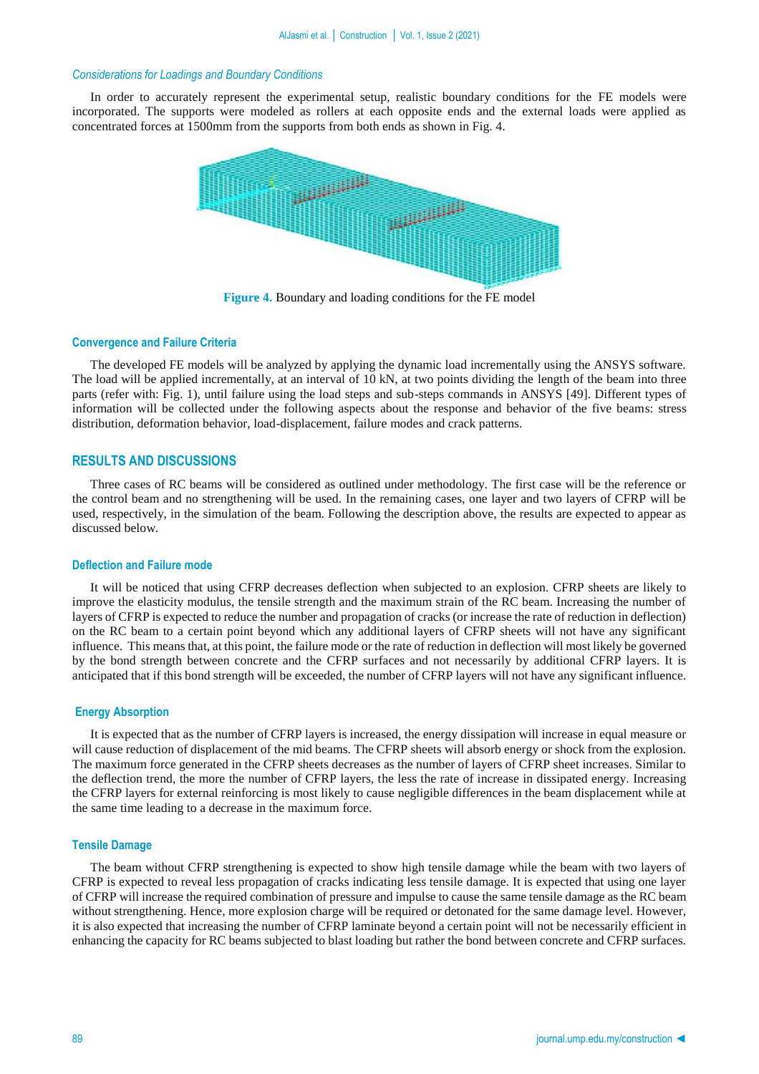## *Considerations for Loadings and Boundary Conditions*

In order to accurately represent the experimental setup, realistic boundary conditions for the FE models were incorporated. The supports were modeled as rollers at each opposite ends and the external loads were applied as concentrated forces at 1500mm from the supports from both ends as shown in Fig. 4.



**Figure 4.** Boundary and loading conditions for the FE model

## **Convergence and Failure Criteria**

The developed FE models will be analyzed by applying the dynamic load incrementally using the ANSYS software. The load will be applied incrementally, at an interval of 10 kN, at two points dividing the length of the beam into three parts (refer with: Fig. 1), until failure using the load steps and sub-steps commands in ANSYS [49]. Different types of information will be collected under the following aspects about the response and behavior of the five beams: stress distribution, deformation behavior, load-displacement, failure modes and crack patterns.

#### **RESULTS AND DISCUSSIONS**

Three cases of RC beams will be considered as outlined under methodology. The first case will be the reference or the control beam and no strengthening will be used. In the remaining cases, one layer and two layers of CFRP will be used, respectively, in the simulation of the beam. Following the description above, the results are expected to appear as discussed below.

#### **Deflection and Failure mode**

It will be noticed that using CFRP decreases deflection when subjected to an explosion. CFRP sheets are likely to improve the elasticity modulus, the tensile strength and the maximum strain of the RC beam. Increasing the number of layers of CFRP is expected to reduce the number and propagation of cracks (or increase the rate of reduction in deflection) on the RC beam to a certain point beyond which any additional layers of CFRP sheets will not have any significant influence. This means that, at this point, the failure mode or the rate of reduction in deflection will most likely be governed by the bond strength between concrete and the CFRP surfaces and not necessarily by additional CFRP layers. It is anticipated that if this bond strength will be exceeded, the number of CFRP layers will not have any significant influence.

#### **Energy Absorption**

It is expected that as the number of CFRP layers is increased, the energy dissipation will increase in equal measure or will cause reduction of displacement of the mid beams. The CFRP sheets will absorb energy or shock from the explosion. The maximum force generated in the CFRP sheets decreases as the number of layers of CFRP sheet increases. Similar to the deflection trend, the more the number of CFRP layers, the less the rate of increase in dissipated energy. Increasing the CFRP layers for external reinforcing is most likely to cause negligible differences in the beam displacement while at the same time leading to a decrease in the maximum force.

#### **Tensile Damage**

The beam without CFRP strengthening is expected to show high tensile damage while the beam with two layers of CFRP is expected to reveal less propagation of cracks indicating less tensile damage. It is expected that using one layer of CFRP will increase the required combination of pressure and impulse to cause the same tensile damage as the RC beam without strengthening. Hence, more explosion charge will be required or detonated for the same damage level. However, it is also expected that increasing the number of CFRP laminate beyond a certain point will not be necessarily efficient in enhancing the capacity for RC beams subjected to blast loading but rather the bond between concrete and CFRP surfaces.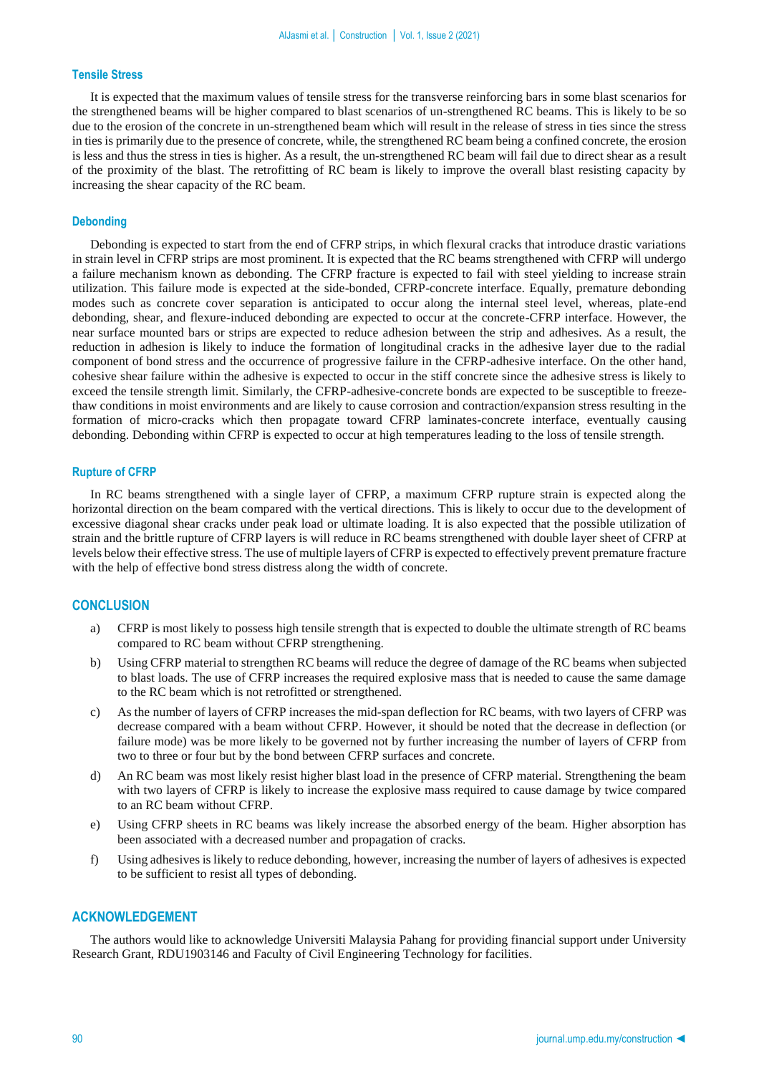# **Tensile Stress**

It is expected that the maximum values of tensile stress for the transverse reinforcing bars in some blast scenarios for the strengthened beams will be higher compared to blast scenarios of un-strengthened RC beams. This is likely to be so due to the erosion of the concrete in un-strengthened beam which will result in the release of stress in ties since the stress in ties is primarily due to the presence of concrete, while, the strengthened RC beam being a confined concrete, the erosion is less and thus the stress in ties is higher. As a result, the un-strengthened RC beam will fail due to direct shear as a result of the proximity of the blast. The retrofitting of RC beam is likely to improve the overall blast resisting capacity by increasing the shear capacity of the RC beam.

#### **Debonding**

Debonding is expected to start from the end of CFRP strips, in which flexural cracks that introduce drastic variations in strain level in CFRP strips are most prominent. It is expected that the RC beams strengthened with CFRP will undergo a failure mechanism known as debonding. The CFRP fracture is expected to fail with steel yielding to increase strain utilization. This failure mode is expected at the side-bonded, CFRP-concrete interface. Equally, premature debonding modes such as concrete cover separation is anticipated to occur along the internal steel level, whereas, plate-end debonding, shear, and flexure-induced debonding are expected to occur at the concrete-CFRP interface. However, the near surface mounted bars or strips are expected to reduce adhesion between the strip and adhesives. As a result, the reduction in adhesion is likely to induce the formation of longitudinal cracks in the adhesive layer due to the radial component of bond stress and the occurrence of progressive failure in the CFRP-adhesive interface. On the other hand, cohesive shear failure within the adhesive is expected to occur in the stiff concrete since the adhesive stress is likely to exceed the tensile strength limit. Similarly, the CFRP-adhesive-concrete bonds are expected to be susceptible to freezethaw conditions in moist environments and are likely to cause corrosion and contraction/expansion stress resulting in the formation of micro-cracks which then propagate toward CFRP laminates-concrete interface, eventually causing debonding. Debonding within CFRP is expected to occur at high temperatures leading to the loss of tensile strength.

#### **Rupture of CFRP**

In RC beams strengthened with a single layer of CFRP, a maximum CFRP rupture strain is expected along the horizontal direction on the beam compared with the vertical directions. This is likely to occur due to the development of excessive diagonal shear cracks under peak load or ultimate loading. It is also expected that the possible utilization of strain and the brittle rupture of CFRP layers is will reduce in RC beams strengthened with double layer sheet of CFRP at levels below their effective stress. The use of multiple layers of CFRP is expected to effectively prevent premature fracture with the help of effective bond stress distress along the width of concrete.

## **CONCLUSION**

- a) CFRP is most likely to possess high tensile strength that is expected to double the ultimate strength of RC beams compared to RC beam without CFRP strengthening.
- b) Using CFRP material to strengthen RC beams will reduce the degree of damage of the RC beams when subjected to blast loads. The use of CFRP increases the required explosive mass that is needed to cause the same damage to the RC beam which is not retrofitted or strengthened.
- c) As the number of layers of CFRP increases the mid-span deflection for RC beams, with two layers of CFRP was decrease compared with a beam without CFRP. However, it should be noted that the decrease in deflection (or failure mode) was be more likely to be governed not by further increasing the number of layers of CFRP from two to three or four but by the bond between CFRP surfaces and concrete.
- d) An RC beam was most likely resist higher blast load in the presence of CFRP material. Strengthening the beam with two layers of CFRP is likely to increase the explosive mass required to cause damage by twice compared to an RC beam without CFRP.
- e) Using CFRP sheets in RC beams was likely increase the absorbed energy of the beam. Higher absorption has been associated with a decreased number and propagation of cracks.
- f) Using adhesives is likely to reduce debonding, however, increasing the number of layers of adhesives is expected to be sufficient to resist all types of debonding.

#### **ACKNOWLEDGEMENT**

The authors would like to acknowledge Universiti Malaysia Pahang for providing financial support under University Research Grant, RDU1903146 and Faculty of Civil Engineering Technology for facilities.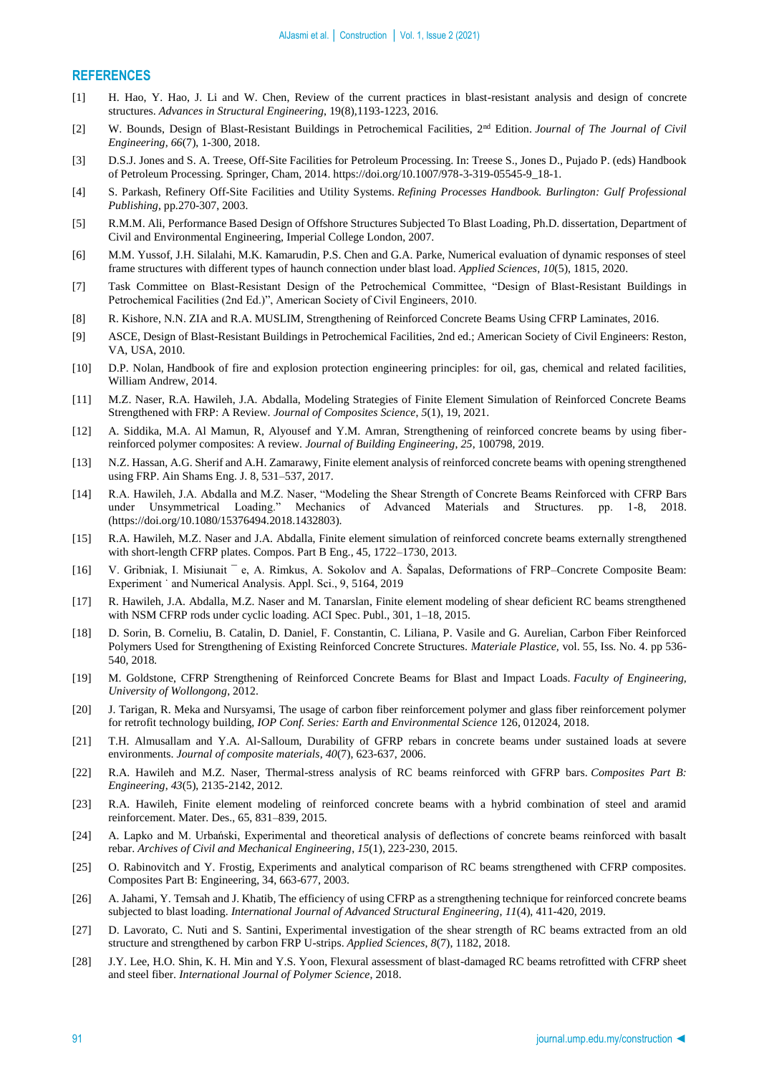# **REFERENCES**

- [1] H. Hao, Y. Hao, J. Li and W. Chen, Review of the current practices in blast-resistant analysis and design of concrete structures. *Advances in Structural Engineering*, 19(8),1193-1223, 2016.
- [2] W. Bounds, Design of Blast-Resistant Buildings in Petrochemical Facilities, 2nd Edition. *Journal of The Journal of Civil Engineering, 66*(7), 1-300, 2018.
- [3] D.S.J. Jones and S. A. Treese, Off-Site Facilities for Petroleum Processing. In: Treese S., Jones D., Pujado P. (eds) Handbook of Petroleum Processing. Springer, Cham, 2014. https://doi.org/10.1007/978-3-319-05545-9\_18-1.
- [4] S. Parkash, Refinery Off-Site Facilities and Utility Systems. *Refining Processes Handbook. Burlington: Gulf Professional Publishing*, pp.270-307, 2003.
- [5] R.M.M. Ali, Performance Based Design of Offshore Structures Subjected To Blast Loading, Ph.D. dissertation, Department of Civil and Environmental Engineering, Imperial College London, 2007.
- [6] M.M. Yussof, J.H. Silalahi, M.K. Kamarudin, P.S. Chen and G.A. Parke, Numerical evaluation of dynamic responses of steel frame structures with different types of haunch connection under blast load. *Applied Sciences*, *10*(5), 1815, 2020.
- [7] Task Committee on Blast-Resistant Design of the Petrochemical Committee, "Design of Blast-Resistant Buildings in Petrochemical Facilities (2nd Ed.)", American Society of Civil Engineers, 2010.
- [8] R. Kishore, N.N. ZIA and R.A. MUSLIM, Strengthening of Reinforced Concrete Beams Using CFRP Laminates, 2016.
- [9] ASCE, Design of Blast-Resistant Buildings in Petrochemical Facilities, 2nd ed.; American Society of Civil Engineers: Reston, VA, USA, 2010.
- [10] D.P. Nolan, Handbook of fire and explosion protection engineering principles: for oil, gas, chemical and related facilities, William Andrew, 2014.
- [11] M.Z. Naser, R.A. Hawileh, J.A. Abdalla, Modeling Strategies of Finite Element Simulation of Reinforced Concrete Beams Strengthened with FRP: A Review. *Journal of Composites Science*, *5*(1), 19, 2021.
- [12] A. Siddika, M.A. Al Mamun, R, Alyousef and Y.M. Amran, Strengthening of reinforced concrete beams by using fiberreinforced polymer composites: A review. *Journal of Building Engineering*, *25*, 100798, 2019.
- [13] N.Z. Hassan, A.G. Sherif and A.H. Zamarawy, Finite element analysis of reinforced concrete beams with opening strengthened using FRP. Ain Shams Eng. J. 8, 531–537, 2017.
- [14] R.A. Hawileh, J.A. Abdalla and M.Z. Naser, "Modeling the Shear Strength of Concrete Beams Reinforced with CFRP Bars under Unsymmetrical Loading." Mechanics of Advanced Materials and Structures. pp. 1-8, 2018. (https://doi.org/10.1080/15376494.2018.1432803).
- [15] R.A. Hawileh, M.Z. Naser and J.A. Abdalla, Finite element simulation of reinforced concrete beams externally strengthened with short-length CFRP plates. Compos. Part B Eng., 45, 1722–1730, 2013.
- [16] V. Gribniak, I. Misiunait ¯ e, A. Rimkus, A. Sokolov and A. Šapalas, Deformations of FRP–Concrete Composite Beam: Experiment ˙ and Numerical Analysis. Appl. Sci., 9, 5164, 2019
- [17] R. Hawileh, J.A. Abdalla, M.Z. Naser and M. Tanarslan, Finite element modeling of shear deficient RC beams strengthened with NSM CFRP rods under cyclic loading. ACI Spec. Publ., 301, 1–18, 2015.
- [18] D. Sorin, B. Corneliu, B. Catalin, D. Daniel, F. Constantin, C. Liliana, P. Vasile and G. Aurelian, Carbon Fiber Reinforced Polymers Used for Strengthening of Existing Reinforced Concrete Structures. *Materiale Plastice,* vol. 55, Iss. No. 4. pp 536- 540, 2018*.*
- [19] M. Goldstone, CFRP Strengthening of Reinforced Concrete Beams for Blast and Impact Loads. *Faculty of Engineering, University of Wollongong*, 2012.
- [20] J. Tarigan, R. Meka and Nursyamsi, The usage of carbon fiber reinforcement polymer and glass fiber reinforcement polymer for retrofit technology building, *IOP Conf. Series: Earth and Environmental Science* 126, 012024, 2018.
- [21] T.H. Almusallam and Y.A. Al-Salloum, Durability of GFRP rebars in concrete beams under sustained loads at severe environments. *Journal of composite materials*, *40*(7), 623-637, 2006.
- [22] R.A. Hawileh and M.Z. Naser, Thermal-stress analysis of RC beams reinforced with GFRP bars. *Composites Part B: Engineering*, *43*(5), 2135-2142, 2012.
- [23] R.A. Hawileh, Finite element modeling of reinforced concrete beams with a hybrid combination of steel and aramid reinforcement. Mater. Des., 65, 831–839, 2015.
- [24] A. Lapko and M. Urbański, Experimental and theoretical analysis of deflections of concrete beams reinforced with basalt rebar. *Archives of Civil and Mechanical Engineering*, *15*(1), 223-230, 2015.
- [25] O. Rabinovitch and Y. Frostig, Experiments and analytical comparison of RC beams strengthened with CFRP composites. Composites Part B: Engineering, 34, 663-677, 2003.
- [26] A. Jahami, Y. Temsah and J. Khatib, The efficiency of using CFRP as a strengthening technique for reinforced concrete beams subjected to blast loading. *International Journal of Advanced Structural Engineering*, *11*(4), 411-420, 2019.
- [27] D. Lavorato, C. Nuti and S. Santini, Experimental investigation of the shear strength of RC beams extracted from an old structure and strengthened by carbon FRP U-strips. *Applied Sciences*, *8*(7), 1182, 2018.
- [28] J.Y. Lee, H.O. Shin, K. H. Min and Y.S. Yoon, Flexural assessment of blast-damaged RC beams retrofitted with CFRP sheet and steel fiber. *International Journal of Polymer Science*, 2018.